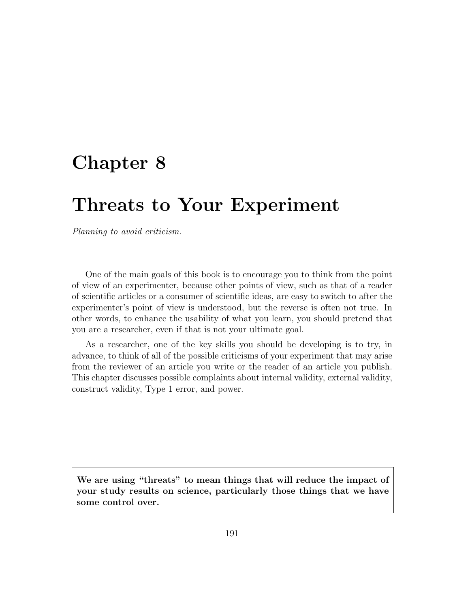# Chapter 8

## Threats to Your Experiment

Planning to avoid criticism.

One of the main goals of this book is to encourage you to think from the point of view of an experimenter, because other points of view, such as that of a reader of scientific articles or a consumer of scientific ideas, are easy to switch to after the experimenter's point of view is understood, but the reverse is often not true. In other words, to enhance the usability of what you learn, you should pretend that you are a researcher, even if that is not your ultimate goal.

As a researcher, one of the key skills you should be developing is to try, in advance, to think of all of the possible criticisms of your experiment that may arise from the reviewer of an article you write or the reader of an article you publish. This chapter discusses possible complaints about internal validity, external validity, construct validity, Type 1 error, and power.

We are using "threats" to mean things that will reduce the impact of your study results on science, particularly those things that we have some control over.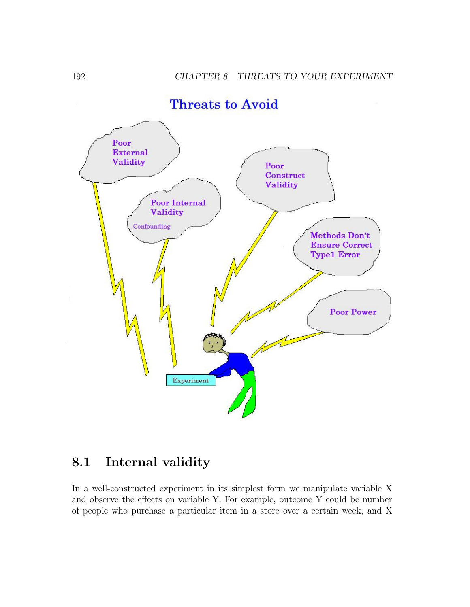# **Threats to Avoid** Poor **External Validity** Poor Construct **Validity Poor Internal Validity** Confounding Methods Don't **Ensure Correct Type1 Error Poor Power** Experiment

## 8.1 Internal validity

In a well-constructed experiment in its simplest form we manipulate variable X and observe the effects on variable Y. For example, outcome Y could be number of people who purchase a particular item in a store over a certain week, and X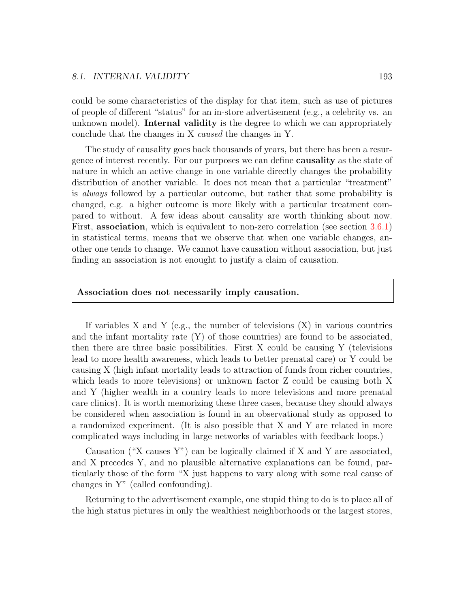could be some characteristics of the display for that item, such as use of pictures of people of different "status" for an in-store advertisement (e.g., a celebrity vs. an unknown model). **Internal validity** is the degree to which we can appropriately conclude that the changes in X caused the changes in Y.

The study of causality goes back thousands of years, but there has been a resurgence of interest recently. For our purposes we can define causality as the state of nature in which an active change in one variable directly changes the probability distribution of another variable. It does not mean that a particular "treatment" is always followed by a particular outcome, but rather that some probability is changed, e.g. a higher outcome is more likely with a particular treatment compared to without. A few ideas about causality are worth thinking about now. First, **association**, which is equivalent to non-zero correlation (see section 3.6.1) in statistical terms, means that we observe that when one variable changes, another one tends to change. We cannot have causation without association, but just finding an association is not enought to justify a claim of causation.

#### Association does not necessarily imply causation.

If variables X and Y (e.g., the number of televisions  $(X)$  in various countries and the infant mortality rate (Y) of those countries) are found to be associated, then there are three basic possibilities. First X could be causing Y (televisions lead to more health awareness, which leads to better prenatal care) or Y could be causing X (high infant mortality leads to attraction of funds from richer countries, which leads to more televisions) or unknown factor Z could be causing both X and Y (higher wealth in a country leads to more televisions and more prenatal care clinics). It is worth memorizing these three cases, because they should always be considered when association is found in an observational study as opposed to a randomized experiment. (It is also possible that X and Y are related in more complicated ways including in large networks of variables with feedback loops.)

Causation ("X causes Y") can be logically claimed if X and Y are associated, and X precedes Y, and no plausible alternative explanations can be found, particularly those of the form "X just happens to vary along with some real cause of changes in Y" (called confounding).

Returning to the advertisement example, one stupid thing to do is to place all of the high status pictures in only the wealthiest neighborhoods or the largest stores,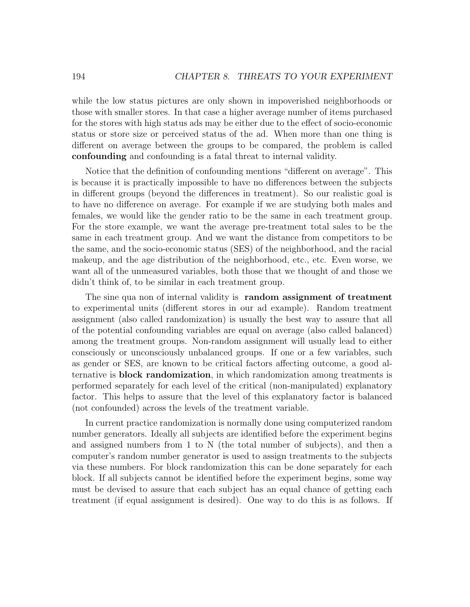while the low status pictures are only shown in impoverished neighborhoods or those with smaller stores. In that case a higher average number of items purchased for the stores with high status ads may be either due to the effect of socio-economic status or store size or perceived status of the ad. When more than one thing is different on average between the groups to be compared, the problem is called confounding and confounding is a fatal threat to internal validity.

Notice that the definition of confounding mentions "different on average". This is because it is practically impossible to have no differences between the subjects in different groups (beyond the differences in treatment). So our realistic goal is to have no difference on average. For example if we are studying both males and females, we would like the gender ratio to be the same in each treatment group. For the store example, we want the average pre-treatment total sales to be the same in each treatment group. And we want the distance from competitors to be the same, and the socio-economic status (SES) of the neighborhood, and the racial makeup, and the age distribution of the neighborhood, etc., etc. Even worse, we want all of the unmeasured variables, both those that we thought of and those we didn't think of, to be similar in each treatment group.

The sine qua non of internal validity is random assignment of treatment to experimental units (different stores in our ad example). Random treatment assignment (also called randomization) is usually the best way to assure that all of the potential confounding variables are equal on average (also called balanced) among the treatment groups. Non-random assignment will usually lead to either consciously or unconsciously unbalanced groups. If one or a few variables, such as gender or SES, are known to be critical factors affecting outcome, a good alternative is block randomization, in which randomization among treatments is performed separately for each level of the critical (non-manipulated) explanatory factor. This helps to assure that the level of this explanatory factor is balanced (not confounded) across the levels of the treatment variable.

In current practice randomization is normally done using computerized random number generators. Ideally all subjects are identified before the experiment begins and assigned numbers from 1 to N (the total number of subjects), and then a computer's random number generator is used to assign treatments to the subjects via these numbers. For block randomization this can be done separately for each block. If all subjects cannot be identified before the experiment begins, some way must be devised to assure that each subject has an equal chance of getting each treatment (if equal assignment is desired). One way to do this is as follows. If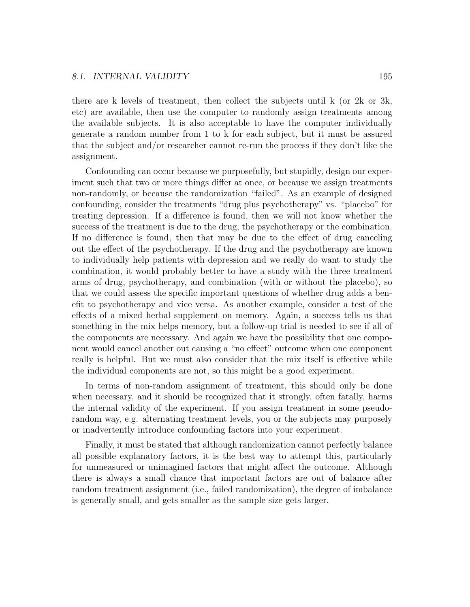there are k levels of treatment, then collect the subjects until k (or 2k or 3k, etc) are available, then use the computer to randomly assign treatments among the available subjects. It is also acceptable to have the computer individually generate a random number from 1 to k for each subject, but it must be assured that the subject and/or researcher cannot re-run the process if they don't like the assignment.

Confounding can occur because we purposefully, but stupidly, design our experiment such that two or more things differ at once, or because we assign treatments non-randomly, or because the randomization "failed". As an example of designed confounding, consider the treatments "drug plus psychotherapy" vs. "placebo" for treating depression. If a difference is found, then we will not know whether the success of the treatment is due to the drug, the psychotherapy or the combination. If no difference is found, then that may be due to the effect of drug canceling out the effect of the psychotherapy. If the drug and the psychotherapy are known to individually help patients with depression and we really do want to study the combination, it would probably better to have a study with the three treatment arms of drug, psychotherapy, and combination (with or without the placebo), so that we could assess the specific important questions of whether drug adds a benefit to psychotherapy and vice versa. As another example, consider a test of the effects of a mixed herbal supplement on memory. Again, a success tells us that something in the mix helps memory, but a follow-up trial is needed to see if all of the components are necessary. And again we have the possibility that one component would cancel another out causing a "no effect" outcome when one component really is helpful. But we must also consider that the mix itself is effective while the individual components are not, so this might be a good experiment.

In terms of non-random assignment of treatment, this should only be done when necessary, and it should be recognized that it strongly, often fatally, harms the internal validity of the experiment. If you assign treatment in some pseudorandom way, e.g. alternating treatment levels, you or the subjects may purposely or inadvertently introduce confounding factors into your experiment.

Finally, it must be stated that although randomization cannot perfectly balance all possible explanatory factors, it is the best way to attempt this, particularly for unmeasured or unimagined factors that might affect the outcome. Although there is always a small chance that important factors are out of balance after random treatment assignment (i.e., failed randomization), the degree of imbalance is generally small, and gets smaller as the sample size gets larger.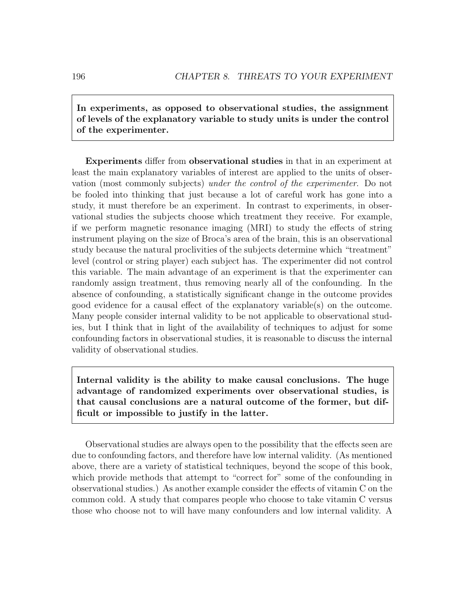In experiments, as opposed to observational studies, the assignment of levels of the explanatory variable to study units is under the control of the experimenter.

Experiments differ from observational studies in that in an experiment at least the main explanatory variables of interest are applied to the units of observation (most commonly subjects) under the control of the experimenter. Do not be fooled into thinking that just because a lot of careful work has gone into a study, it must therefore be an experiment. In contrast to experiments, in observational studies the subjects choose which treatment they receive. For example, if we perform magnetic resonance imaging (MRI) to study the effects of string instrument playing on the size of Broca's area of the brain, this is an observational study because the natural proclivities of the subjects determine which "treatment" level (control or string player) each subject has. The experimenter did not control this variable. The main advantage of an experiment is that the experimenter can randomly assign treatment, thus removing nearly all of the confounding. In the absence of confounding, a statistically significant change in the outcome provides good evidence for a causal effect of the explanatory variable(s) on the outcome. Many people consider internal validity to be not applicable to observational studies, but I think that in light of the availability of techniques to adjust for some confounding factors in observational studies, it is reasonable to discuss the internal validity of observational studies.

Internal validity is the ability to make causal conclusions. The huge advantage of randomized experiments over observational studies, is that causal conclusions are a natural outcome of the former, but difficult or impossible to justify in the latter.

Observational studies are always open to the possibility that the effects seen are due to confounding factors, and therefore have low internal validity. (As mentioned above, there are a variety of statistical techniques, beyond the scope of this book, which provide methods that attempt to "correct for" some of the confounding in observational studies.) As another example consider the effects of vitamin C on the common cold. A study that compares people who choose to take vitamin C versus those who choose not to will have many confounders and low internal validity. A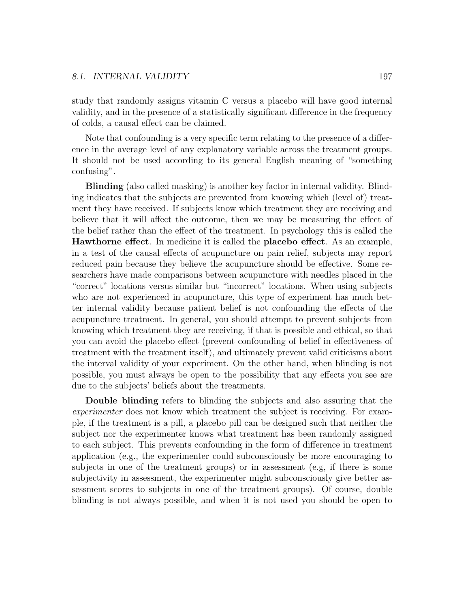#### 8.1. INTERNAL VALIDITY 197

study that randomly assigns vitamin C versus a placebo will have good internal validity, and in the presence of a statistically significant difference in the frequency of colds, a causal effect can be claimed.

Note that confounding is a very specific term relating to the presence of a difference in the average level of any explanatory variable across the treatment groups. It should not be used according to its general English meaning of "something confusing".

Blinding (also called masking) is another key factor in internal validity. Blinding indicates that the subjects are prevented from knowing which (level of) treatment they have received. If subjects know which treatment they are receiving and believe that it will affect the outcome, then we may be measuring the effect of the belief rather than the effect of the treatment. In psychology this is called the Hawthorne effect. In medicine it is called the placebo effect. As an example, in a test of the causal effects of acupuncture on pain relief, subjects may report reduced pain because they believe the acupuncture should be effective. Some researchers have made comparisons between acupuncture with needles placed in the "correct" locations versus similar but "incorrect" locations. When using subjects who are not experienced in acupuncture, this type of experiment has much better internal validity because patient belief is not confounding the effects of the acupuncture treatment. In general, you should attempt to prevent subjects from knowing which treatment they are receiving, if that is possible and ethical, so that you can avoid the placebo effect (prevent confounding of belief in effectiveness of treatment with the treatment itself), and ultimately prevent valid criticisms about the interval validity of your experiment. On the other hand, when blinding is not possible, you must always be open to the possibility that any effects you see are due to the subjects' beliefs about the treatments.

Double blinding refers to blinding the subjects and also assuring that the experimenter does not know which treatment the subject is receiving. For example, if the treatment is a pill, a placebo pill can be designed such that neither the subject nor the experimenter knows what treatment has been randomly assigned to each subject. This prevents confounding in the form of difference in treatment application (e.g., the experimenter could subconsciously be more encouraging to subjects in one of the treatment groups) or in assessment (e.g, if there is some subjectivity in assessment, the experimenter might subconsciously give better assessment scores to subjects in one of the treatment groups). Of course, double blinding is not always possible, and when it is not used you should be open to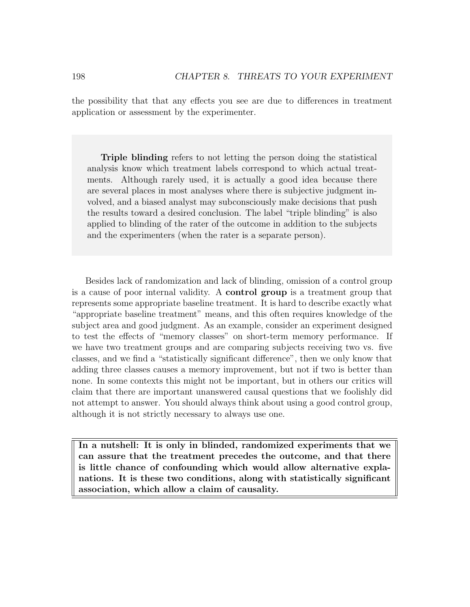the possibility that that any effects you see are due to differences in treatment application or assessment by the experimenter.

Triple blinding refers to not letting the person doing the statistical analysis know which treatment labels correspond to which actual treatments. Although rarely used, it is actually a good idea because there are several places in most analyses where there is subjective judgment involved, and a biased analyst may subconsciously make decisions that push the results toward a desired conclusion. The label "triple blinding" is also applied to blinding of the rater of the outcome in addition to the subjects and the experimenters (when the rater is a separate person).

Besides lack of randomization and lack of blinding, omission of a control group is a cause of poor internal validity. A control group is a treatment group that represents some appropriate baseline treatment. It is hard to describe exactly what "appropriate baseline treatment" means, and this often requires knowledge of the subject area and good judgment. As an example, consider an experiment designed to test the effects of "memory classes" on short-term memory performance. If we have two treatment groups and are comparing subjects receiving two vs. five classes, and we find a "statistically significant difference", then we only know that adding three classes causes a memory improvement, but not if two is better than none. In some contexts this might not be important, but in others our critics will claim that there are important unanswered causal questions that we foolishly did not attempt to answer. You should always think about using a good control group, although it is not strictly necessary to always use one.

In a nutshell: It is only in blinded, randomized experiments that we can assure that the treatment precedes the outcome, and that there is little chance of confounding which would allow alternative explanations. It is these two conditions, along with statistically significant association, which allow a claim of causality.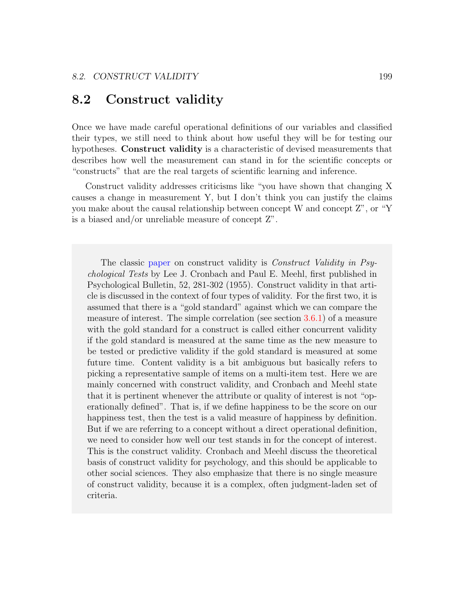#### 8.2 Construct validity

Once we have made careful operational definitions of our variables and classified their types, we still need to think about how useful they will be for testing our hypotheses. Construct validity is a characteristic of devised measurements that describes how well the measurement can stand in for the scientific concepts or "constructs" that are the real targets of scientific learning and inference.

Construct validity addresses criticisms like "you have shown that changing X causes a change in measurement Y, but I don't think you can justify the claims you make about the causal relationship between concept W and concept Z", or "Y is a biased and/or unreliable measure of concept Z".

The classic [paper](http://psychclassics.yorku.ca/Cronbach/construct.htm) on construct validity is Construct Validity in Psychological Tests by Lee J. Cronbach and Paul E. Meehl, first published in Psychological Bulletin, 52, 281-302 (1955). Construct validity in that article is discussed in the context of four types of validity. For the first two, it is assumed that there is a "gold standard" against which we can compare the measure of interest. The simple correlation (see section 3.6.1) of a measure with the gold standard for a construct is called either concurrent validity if the gold standard is measured at the same time as the new measure to be tested or predictive validity if the gold standard is measured at some future time. Content validity is a bit ambiguous but basically refers to picking a representative sample of items on a multi-item test. Here we are mainly concerned with construct validity, and Cronbach and Meehl state that it is pertinent whenever the attribute or quality of interest is not "operationally defined". That is, if we define happiness to be the score on our happiness test, then the test is a valid measure of happiness by definition. But if we are referring to a concept without a direct operational definition, we need to consider how well our test stands in for the concept of interest. This is the construct validity. Cronbach and Meehl discuss the theoretical basis of construct validity for psychology, and this should be applicable to other social sciences. They also emphasize that there is no single measure of construct validity, because it is a complex, often judgment-laden set of criteria.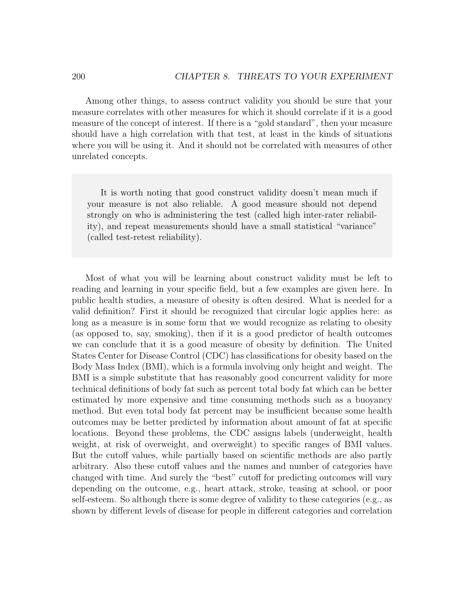Among other things, to assess contruct validity you should be sure that your measure correlates with other measures for which it should correlate if it is a good measure of the concept of interest. If there is a "gold standard", then your measure should have a high correlation with that test, at least in the kinds of situations where you will be using it. And it should not be correlated with measures of other unrelated concepts.

It is worth noting that good construct validity doesn't mean much if your measure is not also reliable. A good measure should not depend strongly on who is administering the test (called high inter-rater reliability), and repeat measurements should have a small statistical "variance" (called test-retest reliability).

Most of what you will be learning about construct validity must be left to reading and learning in your specific field, but a few examples are given here. In public health studies, a measure of obesity is often desired. What is needed for a valid definition? First it should be recognized that circular logic applies here: as long as a measure is in some form that we would recognize as relating to obesity (as opposed to, say, smoking), then if it is a good predictor of health outcomes we can conclude that it is a good measure of obesity by definition. The United States Center for Disease Control (CDC) has classifications for obesity based on the Body Mass Index (BMI), which is a formula involving only height and weight. The BMI is a simple substitute that has reasonably good concurrent validity for more technical definitions of body fat such as percent total body fat which can be better estimated by more expensive and time consuming methods such as a buoyancy method. But even total body fat percent may be insufficient because some health outcomes may be better predicted by information about amount of fat at specific locations. Beyond these problems, the CDC assigns labels (underweight, health weight, at risk of overweight, and overweight) to specific ranges of BMI values. But the cutoff values, while partially based on scientific methods are also partly arbitrary. Also these cutoff values and the names and number of categories have changed with time. And surely the "best" cutoff for predicting outcomes will vary depending on the outcome, e.g., heart attack, stroke, teasing at school, or poor self-esteem. So although there is some degree of validity to these categories (e.g., as shown by different levels of disease for people in different categories and correlation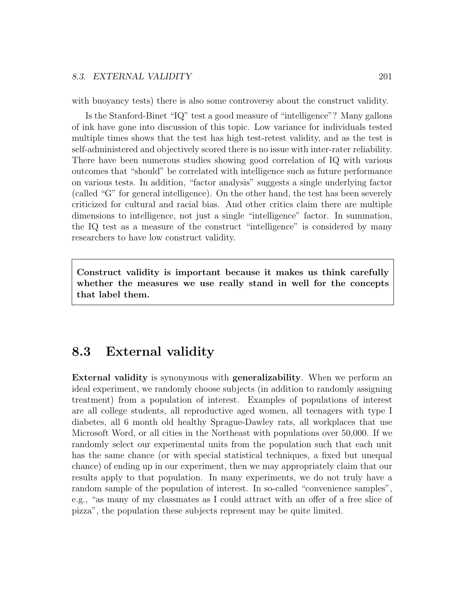with buoyancy tests) there is also some controversy about the construct validity.

Is the Stanford-Binet "IQ" test a good measure of "intelligence"? Many gallons of ink have gone into discussion of this topic. Low variance for individuals tested multiple times shows that the test has high test-retest validity, and as the test is self-administered and objectively scored there is no issue with inter-rater reliability. There have been numerous studies showing good correlation of IQ with various outcomes that "should" be correlated with intelligence such as future performance on various tests. In addition, "factor analysis" suggests a single underlying factor (called "G" for general intelligence). On the other hand, the test has been severely criticized for cultural and racial bias. And other critics claim there are multiple dimensions to intelligence, not just a single "intelligence" factor. In summation, the IQ test as a measure of the construct "intelligence" is considered by many researchers to have low construct validity.

Construct validity is important because it makes us think carefully whether the measures we use really stand in well for the concepts that label them.

## 8.3 External validity

External validity is synonymous with generalizability. When we perform an ideal experiment, we randomly choose subjects (in addition to randomly assigning treatment) from a population of interest. Examples of populations of interest are all college students, all reproductive aged women, all teenagers with type I diabetes, all 6 month old healthy Sprague-Dawley rats, all workplaces that use Microsoft Word, or all cities in the Northeast with populations over 50,000. If we randomly select our experimental units from the population such that each unit has the same chance (or with special statistical techniques, a fixed but unequal chance) of ending up in our experiment, then we may appropriately claim that our results apply to that population. In many experiments, we do not truly have a random sample of the population of interest. In so-called "convenience samples", e.g., "as many of my classmates as I could attract with an offer of a free slice of pizza", the population these subjects represent may be quite limited.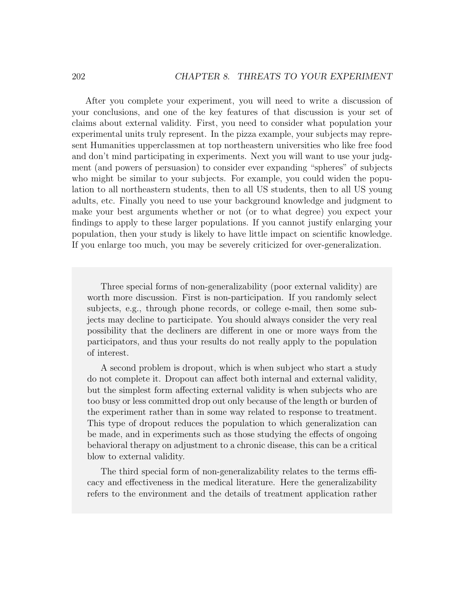After you complete your experiment, you will need to write a discussion of your conclusions, and one of the key features of that discussion is your set of claims about external validity. First, you need to consider what population your experimental units truly represent. In the pizza example, your subjects may represent Humanities upperclassmen at top northeastern universities who like free food and don't mind participating in experiments. Next you will want to use your judgment (and powers of persuasion) to consider ever expanding "spheres" of subjects who might be similar to your subjects. For example, you could widen the population to all northeastern students, then to all US students, then to all US young adults, etc. Finally you need to use your background knowledge and judgment to make your best arguments whether or not (or to what degree) you expect your findings to apply to these larger populations. If you cannot justify enlarging your population, then your study is likely to have little impact on scientific knowledge. If you enlarge too much, you may be severely criticized for over-generalization.

Three special forms of non-generalizability (poor external validity) are worth more discussion. First is non-participation. If you randomly select subjects, e.g., through phone records, or college e-mail, then some subjects may decline to participate. You should always consider the very real possibility that the decliners are different in one or more ways from the participators, and thus your results do not really apply to the population of interest.

A second problem is dropout, which is when subject who start a study do not complete it. Dropout can affect both internal and external validity, but the simplest form affecting external validity is when subjects who are too busy or less committed drop out only because of the length or burden of the experiment rather than in some way related to response to treatment. This type of dropout reduces the population to which generalization can be made, and in experiments such as those studying the effects of ongoing behavioral therapy on adjustment to a chronic disease, this can be a critical blow to external validity.

The third special form of non-generalizability relates to the terms efficacy and effectiveness in the medical literature. Here the generalizability refers to the environment and the details of treatment application rather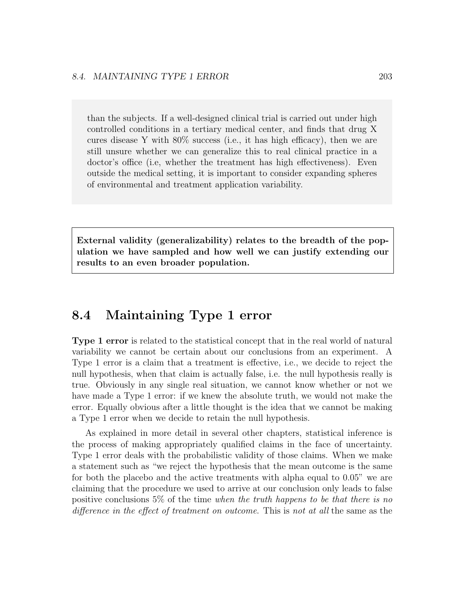than the subjects. If a well-designed clinical trial is carried out under high controlled conditions in a tertiary medical center, and finds that drug X cures disease Y with  $80\%$  success (i.e., it has high efficacy), then we are still unsure whether we can generalize this to real clinical practice in a doctor's office (i.e, whether the treatment has high effectiveness). Even outside the medical setting, it is important to consider expanding spheres of environmental and treatment application variability.

External validity (generalizability) relates to the breadth of the population we have sampled and how well we can justify extending our results to an even broader population.

### 8.4 Maintaining Type 1 error

Type 1 error is related to the statistical concept that in the real world of natural variability we cannot be certain about our conclusions from an experiment. A Type 1 error is a claim that a treatment is effective, i.e., we decide to reject the null hypothesis, when that claim is actually false, i.e. the null hypothesis really is true. Obviously in any single real situation, we cannot know whether or not we have made a Type 1 error: if we knew the absolute truth, we would not make the error. Equally obvious after a little thought is the idea that we cannot be making a Type 1 error when we decide to retain the null hypothesis.

As explained in more detail in several other chapters, statistical inference is the process of making appropriately qualified claims in the face of uncertainty. Type 1 error deals with the probabilistic validity of those claims. When we make a statement such as "we reject the hypothesis that the mean outcome is the same for both the placebo and the active treatments with alpha equal to 0.05" we are claiming that the procedure we used to arrive at our conclusion only leads to false positive conclusions 5% of the time when the truth happens to be that there is no difference in the effect of treatment on outcome. This is not at all the same as the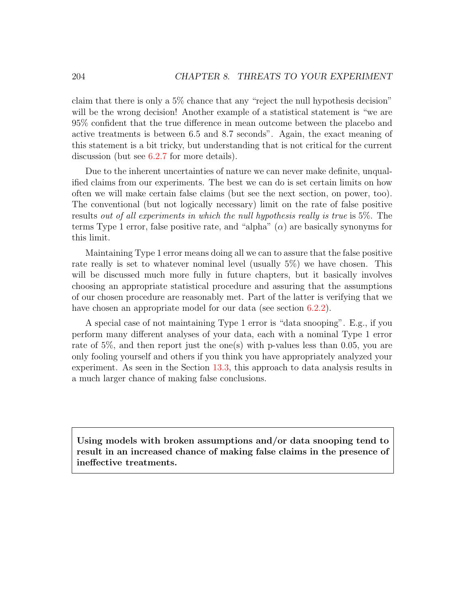claim that there is only a 5% chance that any "reject the null hypothesis decision" will be the wrong decision! Another example of a statistical statement is "we are 95% confident that the true difference in mean outcome between the placebo and active treatments is between 6.5 and 8.7 seconds". Again, the exact meaning of this statement is a bit tricky, but understanding that is not critical for the current discussion (but see 6.2.7 for more details).

Due to the inherent uncertainties of nature we can never make definite, unqualified claims from our experiments. The best we can do is set certain limits on how often we will make certain false claims (but see the next section, on power, too). The conventional (but not logically necessary) limit on the rate of false positive results out of all experiments in which the null hypothesis really is true is 5%. The terms Type 1 error, false positive rate, and "alpha"  $(\alpha)$  are basically synonyms for this limit.

Maintaining Type 1 error means doing all we can to assure that the false positive rate really is set to whatever nominal level (usually 5%) we have chosen. This will be discussed much more fully in future chapters, but it basically involves choosing an appropriate statistical procedure and assuring that the assumptions of our chosen procedure are reasonably met. Part of the latter is verifying that we have chosen an appropriate model for our data (see section 6.2.2).

A special case of not maintaining Type 1 error is "data snooping". E.g., if you perform many different analyses of your data, each with a nominal Type 1 error rate of 5%, and then report just the one(s) with p-values less than 0.05, you are only fooling yourself and others if you think you have appropriately analyzed your experiment. As seen in the Section 13.3, this approach to data analysis results in a much larger chance of making false conclusions.

Using models with broken assumptions and/or data snooping tend to result in an increased chance of making false claims in the presence of ineffective treatments.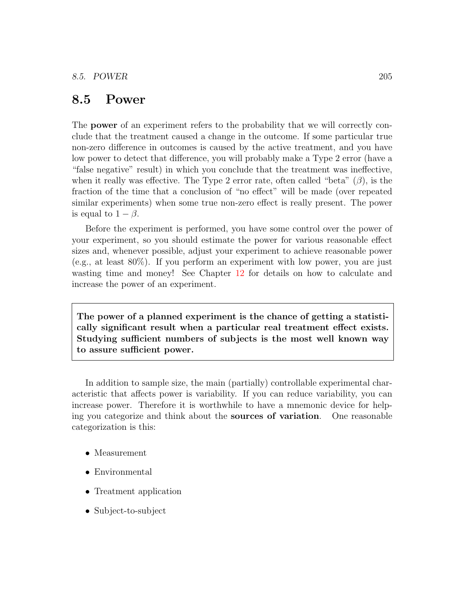#### 8.5 Power

The power of an experiment refers to the probability that we will correctly conclude that the treatment caused a change in the outcome. If some particular true non-zero difference in outcomes is caused by the active treatment, and you have low power to detect that difference, you will probably make a Type 2 error (have a "false negative" result) in which you conclude that the treatment was ineffective, when it really was effective. The Type 2 error rate, often called "beta"  $(\beta)$ , is the fraction of the time that a conclusion of "no effect" will be made (over repeated similar experiments) when some true non-zero effect is really present. The power is equal to  $1 - \beta$ .

Before the experiment is performed, you have some control over the power of your experiment, so you should estimate the power for various reasonable effect sizes and, whenever possible, adjust your experiment to achieve reasonable power (e.g., at least  $80\%$ ). If you perform an experiment with low power, you are just wasting time and money! See Chapter 12 for details on how to calculate and increase the power of an experiment.

The power of a planned experiment is the chance of getting a statistically significant result when a particular real treatment effect exists. Studying sufficient numbers of subjects is the most well known way to assure sufficient power.

In addition to sample size, the main (partially) controllable experimental characteristic that affects power is variability. If you can reduce variability, you can increase power. Therefore it is worthwhile to have a mnemonic device for helping you categorize and think about the **sources of variation**. One reasonable categorization is this:

- Measurement
- Environmental
- Treatment application
- Subject-to-subject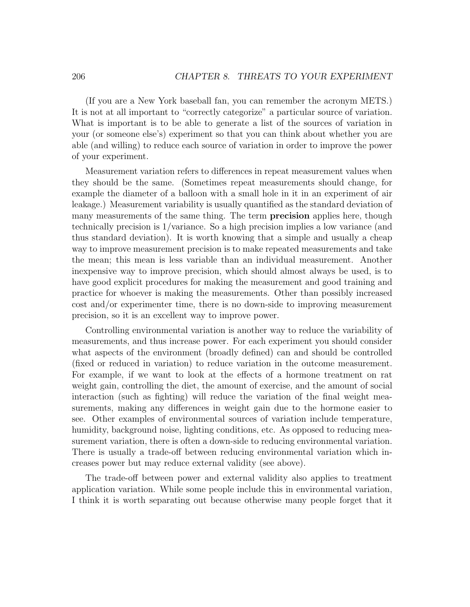(If you are a New York baseball fan, you can remember the acronym METS.) It is not at all important to "correctly categorize" a particular source of variation. What is important is to be able to generate a list of the sources of variation in your (or someone else's) experiment so that you can think about whether you are able (and willing) to reduce each source of variation in order to improve the power of your experiment.

Measurement variation refers to differences in repeat measurement values when they should be the same. (Sometimes repeat measurements should change, for example the diameter of a balloon with a small hole in it in an experiment of air leakage.) Measurement variability is usually quantified as the standard deviation of many measurements of the same thing. The term **precision** applies here, though technically precision is 1/variance. So a high precision implies a low variance (and thus standard deviation). It is worth knowing that a simple and usually a cheap way to improve measurement precision is to make repeated measurements and take the mean; this mean is less variable than an individual measurement. Another inexpensive way to improve precision, which should almost always be used, is to have good explicit procedures for making the measurement and good training and practice for whoever is making the measurements. Other than possibly increased cost and/or experimenter time, there is no down-side to improving measurement precision, so it is an excellent way to improve power.

Controlling environmental variation is another way to reduce the variability of measurements, and thus increase power. For each experiment you should consider what aspects of the environment (broadly defined) can and should be controlled (fixed or reduced in variation) to reduce variation in the outcome measurement. For example, if we want to look at the effects of a hormone treatment on rat weight gain, controlling the diet, the amount of exercise, and the amount of social interaction (such as fighting) will reduce the variation of the final weight measurements, making any differences in weight gain due to the hormone easier to see. Other examples of environmental sources of variation include temperature, humidity, background noise, lighting conditions, etc. As opposed to reducing measurement variation, there is often a down-side to reducing environmental variation. There is usually a trade-off between reducing environmental variation which increases power but may reduce external validity (see above).

The trade-off between power and external validity also applies to treatment application variation. While some people include this in environmental variation, I think it is worth separating out because otherwise many people forget that it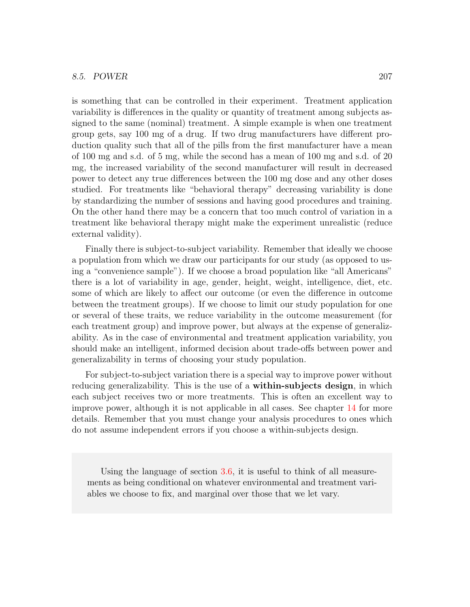#### 8.5. POWER 207

is something that can be controlled in their experiment. Treatment application variability is differences in the quality or quantity of treatment among subjects assigned to the same (nominal) treatment. A simple example is when one treatment group gets, say 100 mg of a drug. If two drug manufacturers have different production quality such that all of the pills from the first manufacturer have a mean of 100 mg and s.d. of 5 mg, while the second has a mean of 100 mg and s.d. of 20 mg, the increased variability of the second manufacturer will result in decreased power to detect any true differences between the 100 mg dose and any other doses studied. For treatments like "behavioral therapy" decreasing variability is done by standardizing the number of sessions and having good procedures and training. On the other hand there may be a concern that too much control of variation in a treatment like behavioral therapy might make the experiment unrealistic (reduce external validity).

Finally there is subject-to-subject variability. Remember that ideally we choose a population from which we draw our participants for our study (as opposed to using a "convenience sample"). If we choose a broad population like "all Americans" there is a lot of variability in age, gender, height, weight, intelligence, diet, etc. some of which are likely to affect our outcome (or even the difference in outcome between the treatment groups). If we choose to limit our study population for one or several of these traits, we reduce variability in the outcome measurement (for each treatment group) and improve power, but always at the expense of generalizability. As in the case of environmental and treatment application variability, you should make an intelligent, informed decision about trade-offs between power and generalizability in terms of choosing your study population.

For subject-to-subject variation there is a special way to improve power without reducing generalizability. This is the use of a **within-subjects design**, in which each subject receives two or more treatments. This is often an excellent way to improve power, although it is not applicable in all cases. See chapter 14 for more details. Remember that you must change your analysis procedures to ones which do not assume independent errors if you choose a within-subjects design.

Using the language of section 3.6, it is useful to think of all measurements as being conditional on whatever environmental and treatment variables we choose to fix, and marginal over those that we let vary.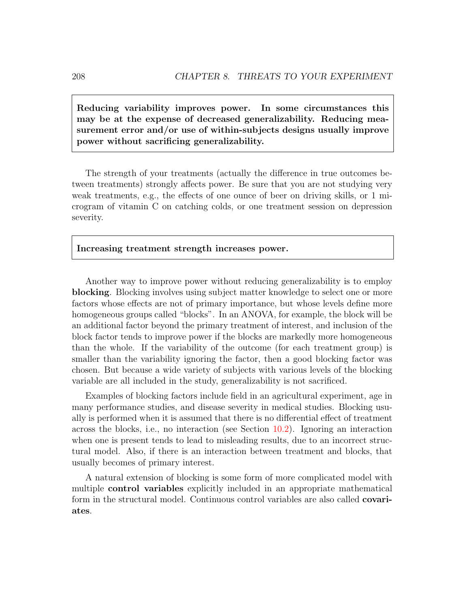Reducing variability improves power. In some circumstances this may be at the expense of decreased generalizability. Reducing measurement error and/or use of within-subjects designs usually improve power without sacrificing generalizability.

The strength of your treatments (actually the difference in true outcomes between treatments) strongly affects power. Be sure that you are not studying very weak treatments, e.g., the effects of one ounce of beer on driving skills, or 1 microgram of vitamin C on catching colds, or one treatment session on depression severity.

Increasing treatment strength increases power.

Another way to improve power without reducing generalizability is to employ blocking. Blocking involves using subject matter knowledge to select one or more factors whose effects are not of primary importance, but whose levels define more homogeneous groups called "blocks". In an ANOVA, for example, the block will be an additional factor beyond the primary treatment of interest, and inclusion of the block factor tends to improve power if the blocks are markedly more homogeneous than the whole. If the variability of the outcome (for each treatment group) is smaller than the variability ignoring the factor, then a good blocking factor was chosen. But because a wide variety of subjects with various levels of the blocking variable are all included in the study, generalizability is not sacrificed.

Examples of blocking factors include field in an agricultural experiment, age in many performance studies, and disease severity in medical studies. Blocking usually is performed when it is assumed that there is no differential effect of treatment across the blocks, i.e., no interaction (see Section 10.2). Ignoring an interaction when one is present tends to lead to misleading results, due to an incorrect structural model. Also, if there is an interaction between treatment and blocks, that usually becomes of primary interest.

A natural extension of blocking is some form of more complicated model with multiple **control variables** explicitly included in an appropriate mathematical form in the structural model. Continuous control variables are also called covariates.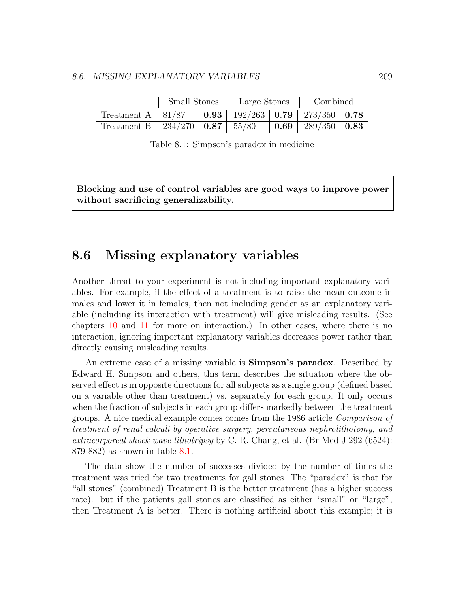#### 8.6. MISSING EXPLANATORY VARIABLES 209

|                                        | <b>Small Stones</b> |  | Large Stones |  | Combined              |  |
|----------------------------------------|---------------------|--|--------------|--|-----------------------|--|
| Treatment A $\parallel$ 81/87          |                     |  |              |  |                       |  |
| Treatment B    234/270   0.87    55/80 |                     |  |              |  | 0.69   289/350   0.83 |  |

Table 8.1: Simpson's paradox in medicine

Blocking and use of control variables are good ways to improve power without sacrificing generalizability.

## 8.6 Missing explanatory variables

Another threat to your experiment is not including important explanatory variables. For example, if the effect of a treatment is to raise the mean outcome in males and lower it in females, then not including gender as an explanatory variable (including its interaction with treatment) will give misleading results. (See chapters 10 and 11 for more on interaction.) In other cases, where there is no interaction, ignoring important explanatory variables decreases power rather than directly causing misleading results.

An extreme case of a missing variable is Simpson's paradox. Described by Edward H. Simpson and others, this term describes the situation where the observed effect is in opposite directions for all subjects as a single group (defined based on a variable other than treatment) vs. separately for each group. It only occurs when the fraction of subjects in each group differs markedly between the treatment groups. A nice medical example comes comes from the 1986 article Comparison of treatment of renal calculi by operative surgery, percutaneous nephrolithotomy, and extracorporeal shock wave lithotripsy by C. R. Chang, et al. (Br Med J 292 (6524): 879-882) as shown in table 8.1.

The data show the number of successes divided by the number of times the treatment was tried for two treatments for gall stones. The "paradox" is that for "all stones" (combined) Treatment B is the better treatment (has a higher success rate). but if the patients gall stones are classified as either "small" or "large", then Treatment A is better. There is nothing artificial about this example; it is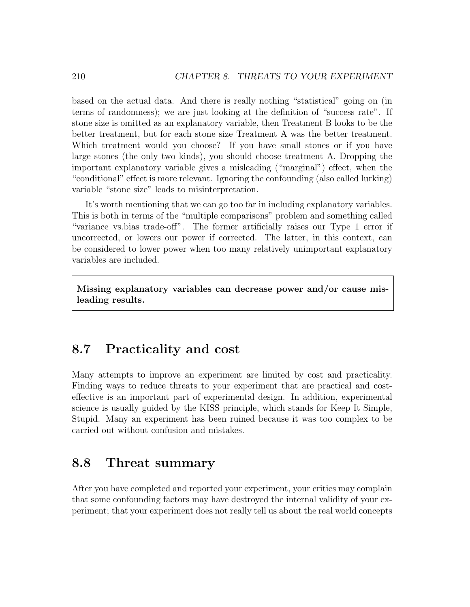based on the actual data. And there is really nothing "statistical" going on (in terms of randomness); we are just looking at the definition of "success rate". If stone size is omitted as an explanatory variable, then Treatment B looks to be the better treatment, but for each stone size Treatment A was the better treatment. Which treatment would you choose? If you have small stones or if you have large stones (the only two kinds), you should choose treatment A. Dropping the important explanatory variable gives a misleading ("marginal") effect, when the "conditional" effect is more relevant. Ignoring the confounding (also called lurking) variable "stone size" leads to misinterpretation.

It's worth mentioning that we can go too far in including explanatory variables. This is both in terms of the "multiple comparisons" problem and something called "variance vs.bias trade-off". The former artificially raises our Type 1 error if uncorrected, or lowers our power if corrected. The latter, in this context, can be considered to lower power when too many relatively unimportant explanatory variables are included.

Missing explanatory variables can decrease power and/or cause misleading results.

## 8.7 Practicality and cost

Many attempts to improve an experiment are limited by cost and practicality. Finding ways to reduce threats to your experiment that are practical and costeffective is an important part of experimental design. In addition, experimental science is usually guided by the KISS principle, which stands for Keep It Simple, Stupid. Many an experiment has been ruined because it was too complex to be carried out without confusion and mistakes.

#### 8.8 Threat summary

After you have completed and reported your experiment, your critics may complain that some confounding factors may have destroyed the internal validity of your experiment; that your experiment does not really tell us about the real world concepts